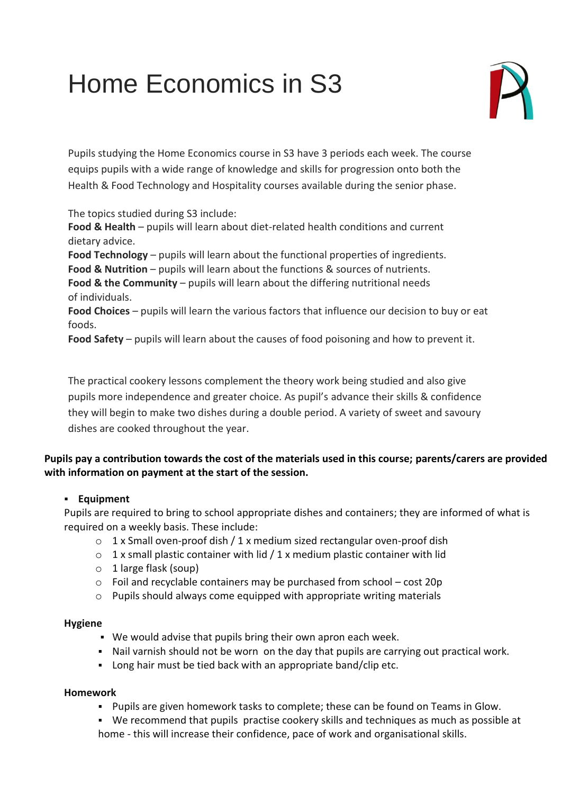# Home Economics in S3



Pupils studying the Home Economics course in S3 have 3 periods each week. The course equips pupils with a wide range of knowledge and skills for progression onto both the Health & Food Technology and Hospitality courses available during the senior phase.

The topics studied during S3 include:

**Food & Health** – pupils will learn about diet-related health conditions and current dietary advice.

**Food Technology** – pupils will learn about the functional properties of ingredients.

**Food & Nutrition** – pupils will learn about the functions & sources of nutrients.

**Food & the Community** – pupils will learn about the differing nutritional needs of individuals.

**Food Choices** – pupils will learn the various factors that influence our decision to buy or eat foods.

**Food Safety** – pupils will learn about the causes of food poisoning and how to prevent it.

The practical cookery lessons complement the theory work being studied and also give pupils more independence and greater choice. As pupil's advance their skills & confidence they will begin to make two dishes during a double period. A variety of sweet and savoury dishes are cooked throughout the year.

## **Pupils pay a contribution towards the cost of the materials used in this course; parents/carers are provided with information on payment at the start of the session.**

## ▪ **Equipment**

Pupils are required to bring to school appropriate dishes and containers; they are informed of what is required on a weekly basis. These include:

- o 1 x Small oven-proof dish / 1 x medium sized rectangular oven-proof dish
- $\circ$  1 x small plastic container with lid / 1 x medium plastic container with lid
- o 1 large flask (soup)
- o Foil and recyclable containers may be purchased from school cost 20p
- o Pupils should always come equipped with appropriate writing materials

### **Hygiene**

- We would advise that pupils bring their own apron each week.
- Nail varnish should not be worn on the day that pupils are carrying out practical work.
- Long hair must be tied back with an appropriate band/clip etc.

### **Homework**

- Pupils are given homework tasks to complete; these can be found on Teams in Glow.
- We recommend that pupils practise cookery skills and techniques as much as possible at home - this will increase their confidence, pace of work and organisational skills.